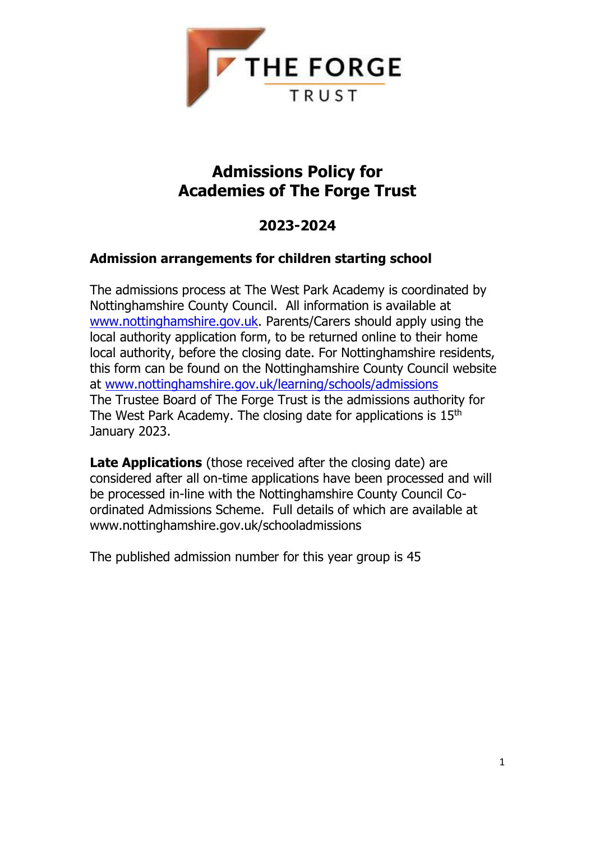

# **Admissions Policy for Academies of The Forge Trust**

# **2023-2024**

# **Admission arrangements for children starting school**

The admissions process at The West Park Academy is coordinated by Nottinghamshire County Council. All information is available at [www.nottinghamshire.gov.uk.](http://www.nottinghamshire.gov.uk/) Parents/Carers should apply using the local authority application form, to be returned online to their home local authority, before the closing date. For Nottinghamshire residents, this form can be found on the Nottinghamshire County Council website at [www.nottinghamshire.gov.uk/learning/schools/admissions](http://www.nottinghamshire.gov.uk/learning/schools/admissions) The Trustee Board of The Forge Trust is the admissions authority for The West Park Academy. The closing date for applications is 15<sup>th</sup> January 2023.

**Late Applications** (those received after the closing date) are considered after all on-time applications have been processed and will be processed in-line with the Nottinghamshire County Council Coordinated Admissions Scheme. Full details of which are available at www.nottinghamshire.gov.uk/schooladmissions

The published admission number for this year group is 45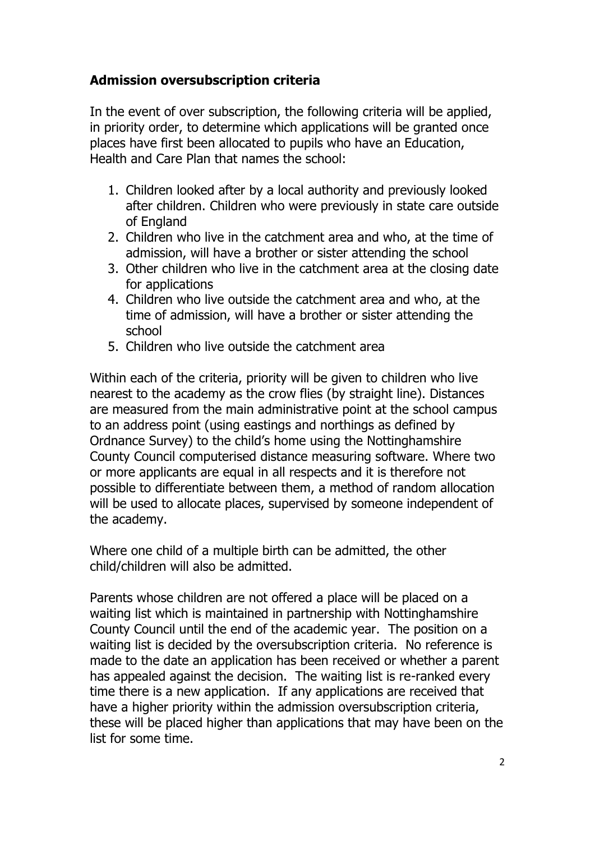### **Admission oversubscription criteria**

In the event of over subscription, the following criteria will be applied, in priority order, to determine which applications will be granted once places have first been allocated to pupils who have an Education, Health and Care Plan that names the school:

- 1. Children looked after by a local authority and previously looked after children. Children who were previously in state care outside of England
- 2. Children who live in the catchment area and who, at the time of admission, will have a brother or sister attending the school
- 3. Other children who live in the catchment area at the closing date for applications
- 4. Children who live outside the catchment area and who, at the time of admission, will have a brother or sister attending the school
- 5. Children who live outside the catchment area

Within each of the criteria, priority will be given to children who live nearest to the academy as the crow flies (by straight line). Distances are measured from the main administrative point at the school campus to an address point (using eastings and northings as defined by Ordnance Survey) to the child's home using the Nottinghamshire County Council computerised distance measuring software. Where two or more applicants are equal in all respects and it is therefore not possible to differentiate between them, a method of random allocation will be used to allocate places, supervised by someone independent of the academy.

Where one child of a multiple birth can be admitted, the other child/children will also be admitted.

Parents whose children are not offered a place will be placed on a waiting list which is maintained in partnership with Nottinghamshire County Council until the end of the academic year. The position on a waiting list is decided by the oversubscription criteria. No reference is made to the date an application has been received or whether a parent has appealed against the decision. The waiting list is re-ranked every time there is a new application. If any applications are received that have a higher priority within the admission oversubscription criteria, these will be placed higher than applications that may have been on the list for some time.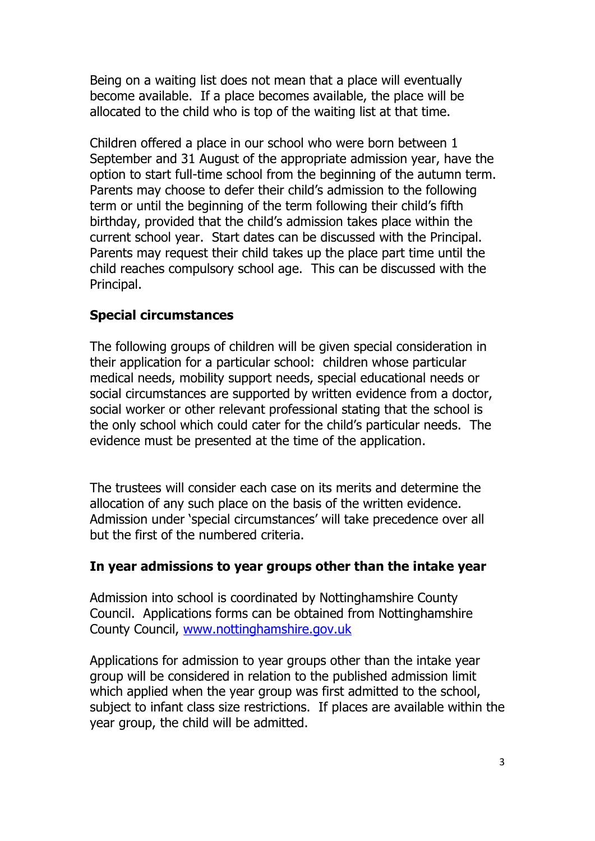Being on a waiting list does not mean that a place will eventually become available. If a place becomes available, the place will be allocated to the child who is top of the waiting list at that time.

Children offered a place in our school who were born between 1 September and 31 August of the appropriate admission year, have the option to start full-time school from the beginning of the autumn term. Parents may choose to defer their child's admission to the following term or until the beginning of the term following their child's fifth birthday, provided that the child's admission takes place within the current school year. Start dates can be discussed with the Principal. Parents may request their child takes up the place part time until the child reaches compulsory school age. This can be discussed with the Principal.

### **Special circumstances**

The following groups of children will be given special consideration in their application for a particular school: children whose particular medical needs, mobility support needs, special educational needs or social circumstances are supported by written evidence from a doctor, social worker or other relevant professional stating that the school is the only school which could cater for the child's particular needs. The evidence must be presented at the time of the application.

The trustees will consider each case on its merits and determine the allocation of any such place on the basis of the written evidence. Admission under 'special circumstances' will take precedence over all but the first of the numbered criteria.

### **In year admissions to year groups other than the intake year**

Admission into school is coordinated by Nottinghamshire County Council. Applications forms can be obtained from Nottinghamshire County Council, [www.nottinghamshire.gov.uk](http://www.nottinghamshire.gov.uk/)

Applications for admission to year groups other than the intake year group will be considered in relation to the published admission limit which applied when the year group was first admitted to the school, subject to infant class size restrictions. If places are available within the year group, the child will be admitted.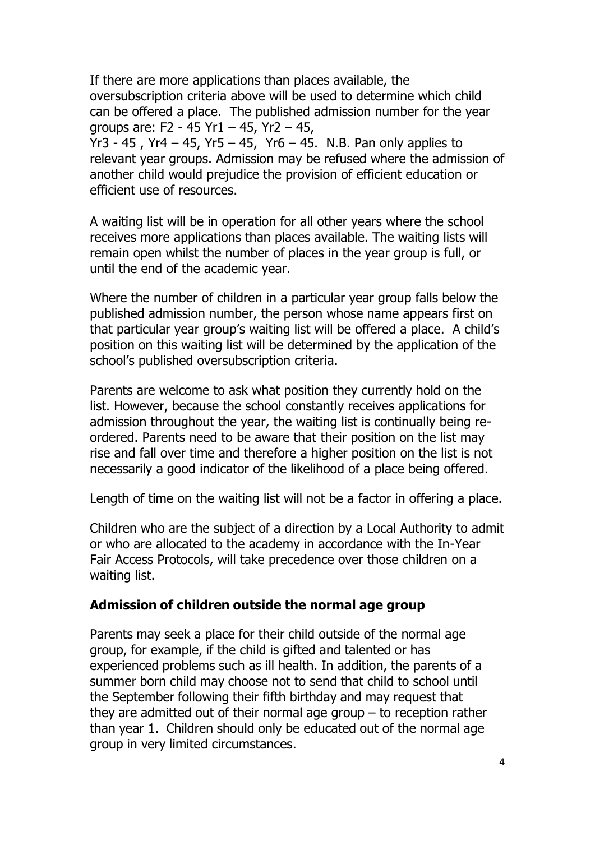If there are more applications than places available, the oversubscription criteria above will be used to determine which child can be offered a place. The published admission number for the year groups are: F2 - 45 Yr1 – 45, Yr2 – 45,

Yr3 - 45 , Yr4 – 45, Yr5 – 45, Yr6 – 45. N.B. Pan only applies to relevant year groups. Admission may be refused where the admission of another child would prejudice the provision of efficient education or efficient use of resources.

A waiting list will be in operation for all other years where the school receives more applications than places available. The waiting lists will remain open whilst the number of places in the year group is full, or until the end of the academic year.

Where the number of children in a particular year group falls below the published admission number, the person whose name appears first on that particular year group's waiting list will be offered a place. A child's position on this waiting list will be determined by the application of the school's published oversubscription criteria.

Parents are welcome to ask what position they currently hold on the list. However, because the school constantly receives applications for admission throughout the year, the waiting list is continually being reordered. Parents need to be aware that their position on the list may rise and fall over time and therefore a higher position on the list is not necessarily a good indicator of the likelihood of a place being offered.

Length of time on the waiting list will not be a factor in offering a place.

Children who are the subject of a direction by a Local Authority to admit or who are allocated to the academy in accordance with the In-Year Fair Access Protocols, will take precedence over those children on a waiting list.

### **Admission of children outside the normal age group**

Parents may seek a place for their child outside of the normal age group, for example, if the child is gifted and talented or has experienced problems such as ill health. In addition, the parents of a summer born child may choose not to send that child to school until the September following their fifth birthday and may request that they are admitted out of their normal age group  $-$  to reception rather than year 1. Children should only be educated out of the normal age group in very limited circumstances.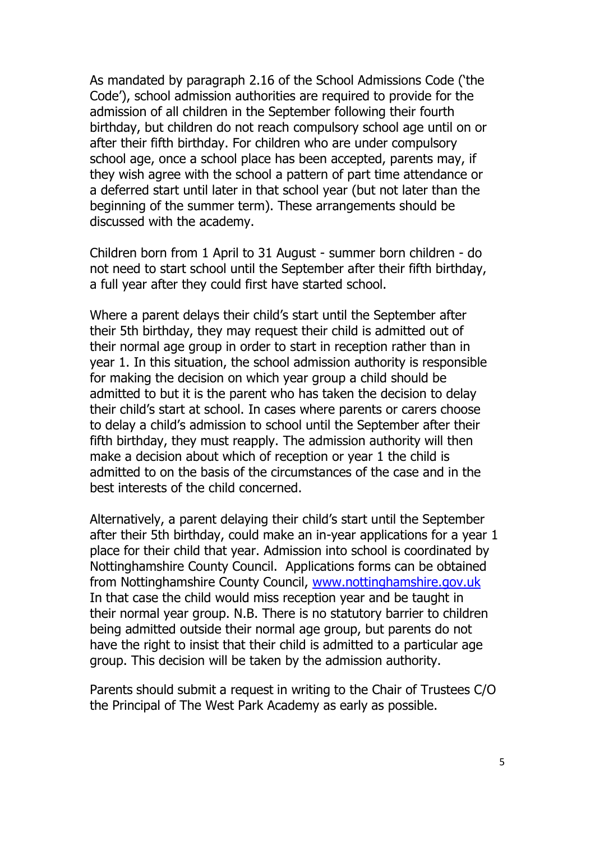As mandated by paragraph 2.16 of the School Admissions Code ('the Code'), school admission authorities are required to provide for the admission of all children in the September following their fourth birthday, but children do not reach compulsory school age until on or after their fifth birthday. For children who are under compulsory school age, once a school place has been accepted, parents may, if they wish agree with the school a pattern of part time attendance or a deferred start until later in that school year (but not later than the beginning of the summer term). These arrangements should be discussed with the academy.

Children born from 1 April to 31 August - summer born children - do not need to start school until the September after their fifth birthday, a full year after they could first have started school.

Where a parent delays their child's start until the September after their 5th birthday, they may request their child is admitted out of their normal age group in order to start in reception rather than in year 1. In this situation, the school admission authority is responsible for making the decision on which year group a child should be admitted to but it is the parent who has taken the decision to delay their child's start at school. In cases where parents or carers choose to delay a child's admission to school until the September after their fifth birthday, they must reapply. The admission authority will then make a decision about which of reception or year 1 the child is admitted to on the basis of the circumstances of the case and in the best interests of the child concerned.

Alternatively, a parent delaying their child's start until the September after their 5th birthday, could make an in-year applications for a year 1 place for their child that year. Admission into school is coordinated by Nottinghamshire County Council. Applications forms can be obtained from Nottinghamshire County Council, [www.nottinghamshire.gov.uk](http://www.nottinghamshire.gov.uk/) In that case the child would miss reception year and be taught in their normal year group. N.B. There is no statutory barrier to children being admitted outside their normal age group, but parents do not have the right to insist that their child is admitted to a particular age group. This decision will be taken by the admission authority.

Parents should submit a request in writing to the Chair of Trustees C/O the Principal of The West Park Academy as early as possible.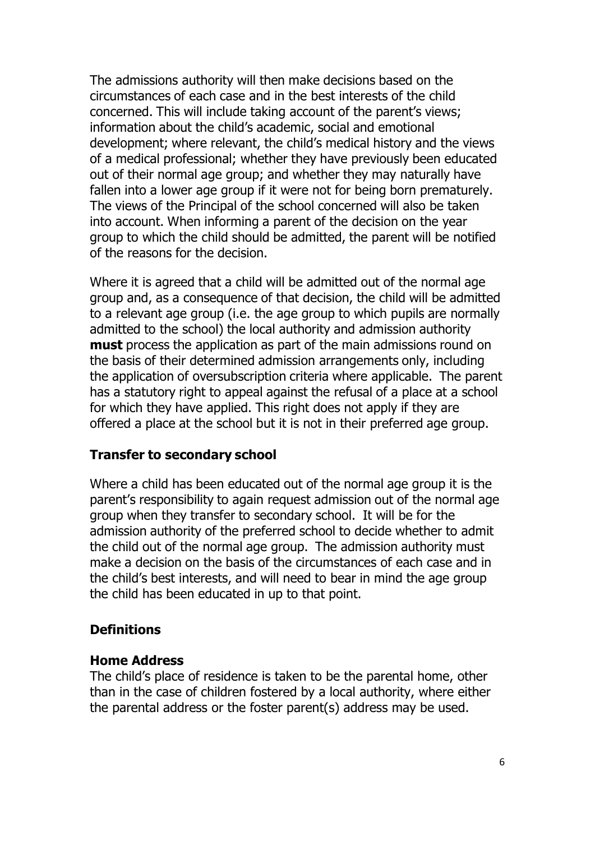The admissions authority will then make decisions based on the circumstances of each case and in the best interests of the child concerned. This will include taking account of the parent's views; information about the child's academic, social and emotional development; where relevant, the child's medical history and the views of a medical professional; whether they have previously been educated out of their normal age group; and whether they may naturally have fallen into a lower age group if it were not for being born prematurely. The views of the Principal of the school concerned will also be taken into account. When informing a parent of the decision on the year group to which the child should be admitted, the parent will be notified of the reasons for the decision.

Where it is agreed that a child will be admitted out of the normal age group and, as a consequence of that decision, the child will be admitted to a relevant age group (i.e. the age group to which pupils are normally admitted to the school) the local authority and admission authority **must** process the application as part of the main admissions round on the basis of their determined admission arrangements only, including the application of oversubscription criteria where applicable. The parent has a statutory right to appeal against the refusal of a place at a school for which they have applied. This right does not apply if they are offered a place at the school but it is not in their preferred age group.

### **Transfer to secondary school**

Where a child has been educated out of the normal age group it is the parent's responsibility to again request admission out of the normal age group when they transfer to secondary school. It will be for the admission authority of the preferred school to decide whether to admit the child out of the normal age group. The admission authority must make a decision on the basis of the circumstances of each case and in the child's best interests, and will need to bear in mind the age group the child has been educated in up to that point.

### **Definitions**

#### **Home Address**

The child's place of residence is taken to be the parental home, other than in the case of children fostered by a local authority, where either the parental address or the foster parent(s) address may be used.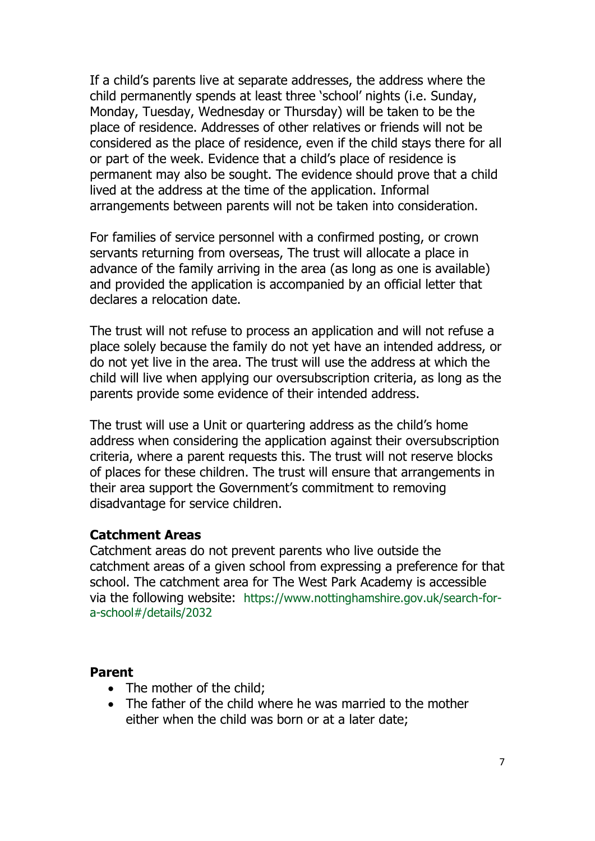If a child's parents live at separate addresses, the address where the child permanently spends at least three 'school' nights (i.e. Sunday, Monday, Tuesday, Wednesday or Thursday) will be taken to be the place of residence. Addresses of other relatives or friends will not be considered as the place of residence, even if the child stays there for all or part of the week. Evidence that a child's place of residence is permanent may also be sought. The evidence should prove that a child lived at the address at the time of the application. Informal arrangements between parents will not be taken into consideration.

For families of service personnel with a confirmed posting, or crown servants returning from overseas, The trust will allocate a place in advance of the family arriving in the area (as long as one is available) and provided the application is accompanied by an official letter that declares a relocation date.

The trust will not refuse to process an application and will not refuse a place solely because the family do not yet have an intended address, or do not yet live in the area. The trust will use the address at which the child will live when applying our oversubscription criteria, as long as the parents provide some evidence of their intended address.

The trust will use a Unit or quartering address as the child's home address when considering the application against their oversubscription criteria, where a parent requests this. The trust will not reserve blocks of places for these children. The trust will ensure that arrangements in their area support the Government's commitment to removing disadvantage for service children.

### **Catchment Areas**

Catchment areas do not prevent parents who live outside the catchment areas of a given school from expressing a preference for that school. The catchment area for The West Park Academy is accessible via the following website: https://www.nottinghamshire.gov.uk/search-fora-school#/details/2032

#### **Parent**

- The mother of the child:
- The father of the child where he was married to the mother either when the child was born or at a later date;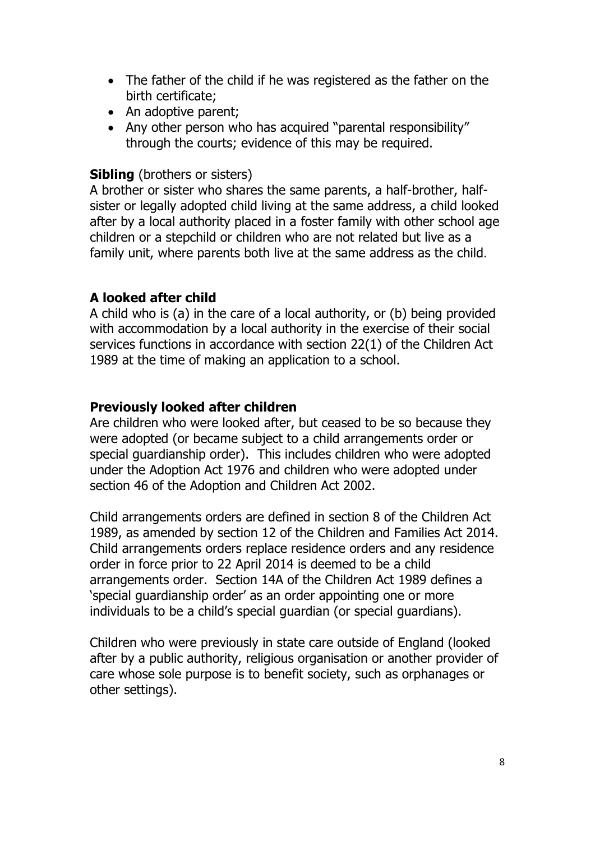- The father of the child if he was registered as the father on the birth certificate;
- An adoptive parent;
- Any other person who has acquired "parental responsibility" through the courts; evidence of this may be required.

### **Sibling** (brothers or sisters)

A brother or sister who shares the same parents, a half-brother, halfsister or legally adopted child living at the same address, a child looked after by a local authority placed in a foster family with other school age children or a stepchild or children who are not related but live as a family unit, where parents both live at the same address as the child.

## **A looked after child**

A child who is (a) in the care of a local authority, or (b) being provided with accommodation by a local authority in the exercise of their social services functions in accordance with section 22(1) of the Children Act 1989 at the time of making an application to a school.

### **Previously looked after children**

Are children who were looked after, but ceased to be so because they were adopted (or became subject to a child arrangements order or special guardianship order). This includes children who were adopted under the Adoption Act 1976 and children who were adopted under section 46 of the Adoption and Children Act 2002.

Child arrangements orders are defined in section 8 of the Children Act 1989, as amended by section 12 of the Children and Families Act 2014. Child arrangements orders replace residence orders and any residence order in force prior to 22 April 2014 is deemed to be a child arrangements order. Section 14A of the Children Act 1989 defines a 'special guardianship order' as an order appointing one or more individuals to be a child's special guardian (or special guardians).

Children who were previously in state care outside of England (looked after by a public authority, religious organisation or another provider of care whose sole purpose is to benefit society, such as orphanages or other settings).